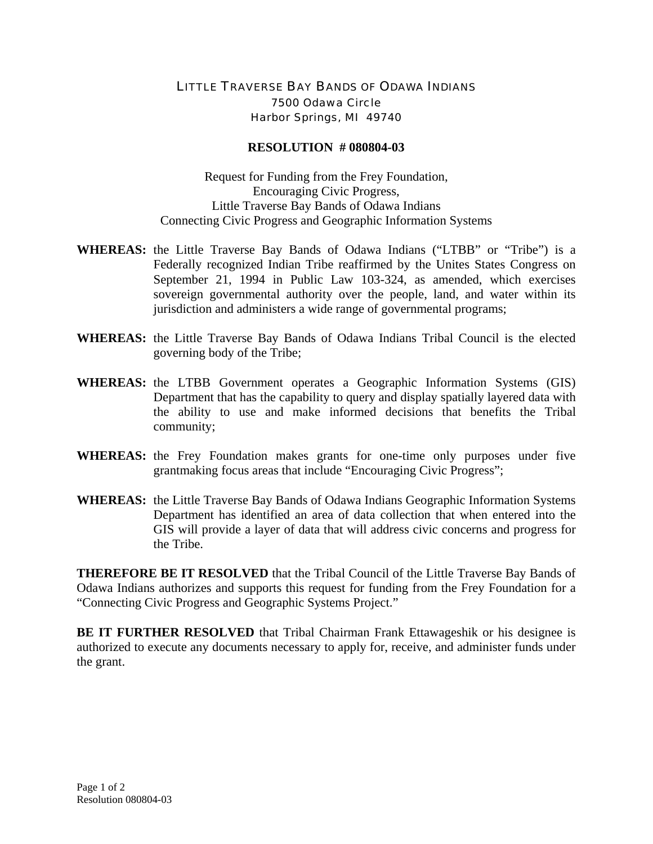## LITTLE TRAVERSE BAY BANDS OF ODAWA INDIANS 7500 Odawa Circle Harbor Springs, MI 49740

## **RESOLUTION # 080804-03**

Request for Funding from the Frey Foundation, Encouraging Civic Progress, Little Traverse Bay Bands of Odawa Indians Connecting Civic Progress and Geographic Information Systems

- **WHEREAS:** the Little Traverse Bay Bands of Odawa Indians ("LTBB" or "Tribe") is a Federally recognized Indian Tribe reaffirmed by the Unites States Congress on September 21, 1994 in Public Law 103-324, as amended, which exercises sovereign governmental authority over the people, land, and water within its jurisdiction and administers a wide range of governmental programs;
- **WHEREAS:** the Little Traverse Bay Bands of Odawa Indians Tribal Council is the elected governing body of the Tribe;
- **WHEREAS:** the LTBB Government operates a Geographic Information Systems (GIS) Department that has the capability to query and display spatially layered data with the ability to use and make informed decisions that benefits the Tribal community;
- **WHEREAS:** the Frey Foundation makes grants for one-time only purposes under five grantmaking focus areas that include "Encouraging Civic Progress";
- **WHEREAS:** the Little Traverse Bay Bands of Odawa Indians Geographic Information Systems Department has identified an area of data collection that when entered into the GIS will provide a layer of data that will address civic concerns and progress for the Tribe.

**THEREFORE BE IT RESOLVED** that the Tribal Council of the Little Traverse Bay Bands of Odawa Indians authorizes and supports this request for funding from the Frey Foundation for a "Connecting Civic Progress and Geographic Systems Project."

**BE IT FURTHER RESOLVED** that Tribal Chairman Frank Ettawageshik or his designee is authorized to execute any documents necessary to apply for, receive, and administer funds under the grant.